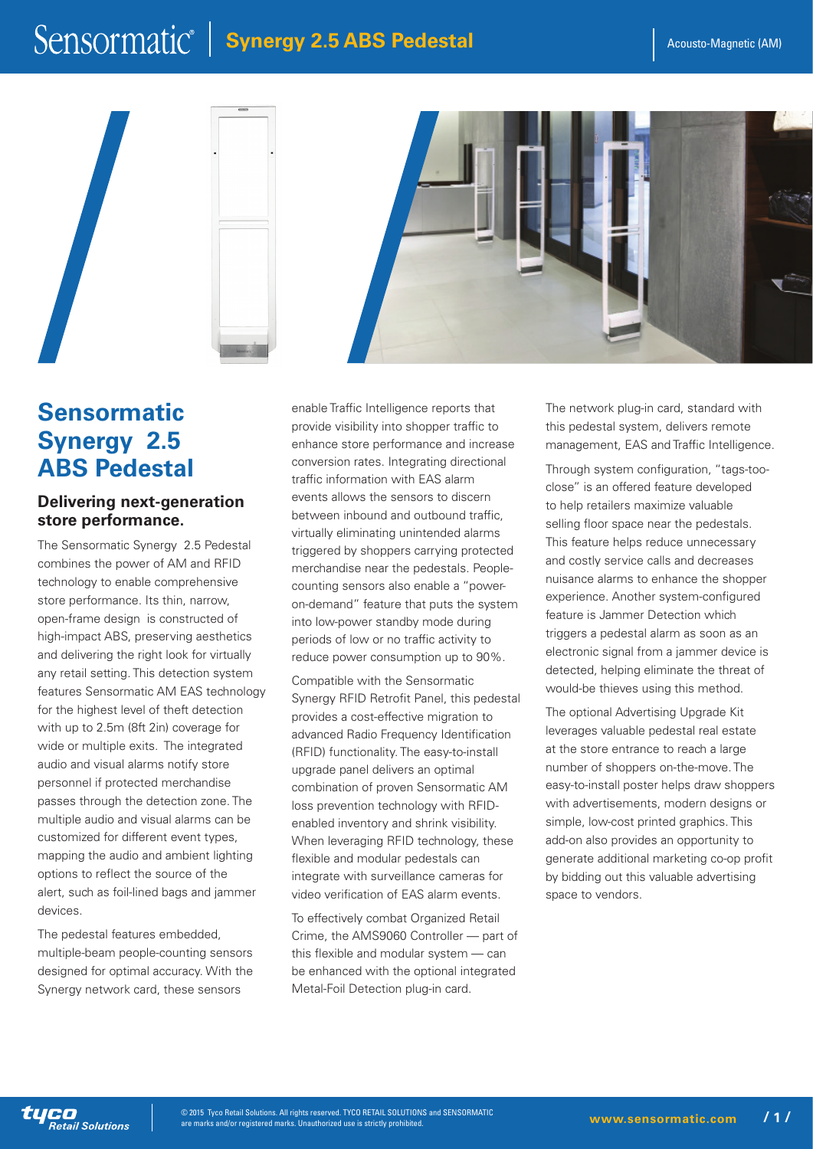## Sensormatic<sup>®</sup> | **Synergy 2.5 ABS Pedestal** Acousto-Magnetic (AM)







### **Sensormatic Synergy 2.5 ABS Pedestal**

#### **Delivering next-generation store performance.**

The Sensormatic Synergy 2.5 Pedestal combines the power of AM and RFID technology to enable comprehensive store performance. Its thin, narrow, open-frame design is constructed of high-impact ABS, preserving aesthetics and delivering the right look for virtually any retail setting. This detection system features Sensormatic AM EAS technology for the highest level of theft detection with up to 2.5m (8ft 2in) coverage for wide or multiple exits. The integrated audio and visual alarms notify store personnel if protected merchandise passes through the detection zone. The multiple audio and visual alarms can be customized for different event types, mapping the audio and ambient lighting options to reflect the source of the alert, such as foil-lined bags and jammer devices.

The pedestal features embedded, multiple-beam people-counting sensors designed for optimal accuracy. With the Synergy network card, these sensors

enable Traffic Intelligence reports that provide visibility into shopper traffic to enhance store performance and increase conversion rates. Integrating directional traffic information with EAS alarm events allows the sensors to discern between inbound and outbound traffic, virtually eliminating unintended alarms triggered by shoppers carrying protected merchandise near the pedestals. Peoplecounting sensors also enable a "poweron-demand" feature that puts the system into low-power standby mode during periods of low or no traffic activity to reduce power consumption up to 90%.

Compatible with the Sensormatic Synergy RFID Retrofit Panel, this pedestal provides a cost-effective migration to advanced Radio Frequency Identification (RFID) functionality. The easy-to-install upgrade panel delivers an optimal combination of proven Sensormatic AM loss prevention technology with RFIDenabled inventory and shrink visibility. When leveraging RFID technology, these flexible and modular pedestals can integrate with surveillance cameras for video verification of EAS alarm events.

To effectively combat Organized Retail Crime, the AMS9060 Controller — part of this flexible and modular system — can be enhanced with the optional integrated Metal-Foil Detection plug-in card.

The network plug-in card, standard with this pedestal system, delivers remote management, EAS and Traffic Intelligence.

Through system configuration, "tags-tooclose" is an offered feature developed to help retailers maximize valuable selling floor space near the pedestals. This feature helps reduce unnecessary and costly service calls and decreases nuisance alarms to enhance the shopper experience. Another system-configured feature is Jammer Detection which triggers a pedestal alarm as soon as an electronic signal from a jammer device is detected, helping eliminate the threat of would-be thieves using this method.

The optional Advertising Upgrade Kit leverages valuable pedestal real estate at the store entrance to reach a large number of shoppers on-the-move. The easy-to-install poster helps draw shoppers with advertisements, modern designs or simple, low-cost printed graphics. This add-on also provides an opportunity to generate additional marketing co-op profit by bidding out this valuable advertising space to vendors.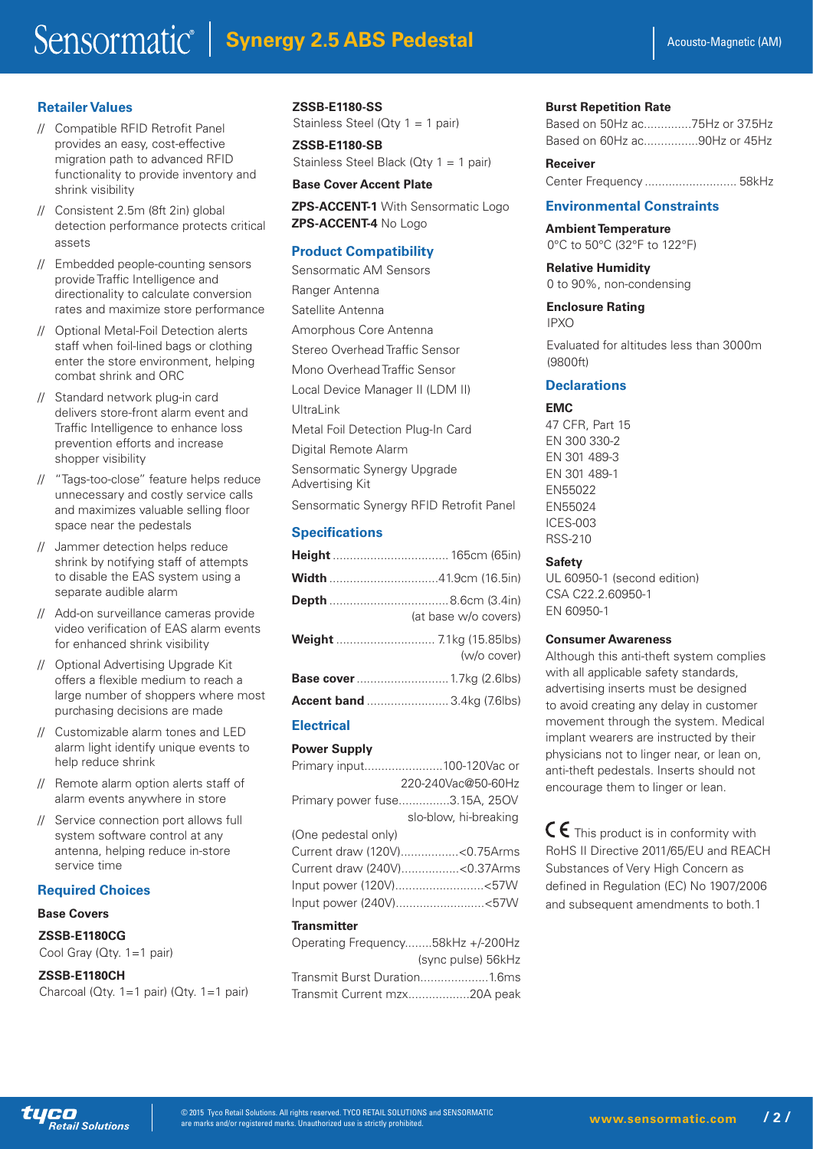#### **Retailer Values**

- // Compatible RFID Retrofit Panel provides an easy, cost-effective migration path to advanced RFID functionality to provide inventory and shrink visibility
- // Consistent 2.5m (8ft 2in) global detection performance protects critical assets
- // Embedded people-counting sensors provide Traffic Intelligence and directionality to calculate conversion rates and maximize store performance
- // Optional Metal-Foil Detection alerts staff when foil-lined bags or clothing enter the store environment, helping combat shrink and ORC
- // Standard network plug-in card delivers store-front alarm event and Traffic Intelligence to enhance loss prevention efforts and increase shopper visibility
- // "Tags-too-close" feature helps reduce unnecessary and costly service calls and maximizes valuable selling floor space near the pedestals
- // Jammer detection helps reduce shrink by notifying staff of attempts to disable the EAS system using a separate audible alarm
- // Add-on surveillance cameras provide video verification of EAS alarm events for enhanced shrink visibility
- // Optional Advertising Upgrade Kit offers a flexible medium to reach a large number of shoppers where most purchasing decisions are made
- // Customizable alarm tones and LED alarm light identify unique events to help reduce shrink
- // Remote alarm option alerts staff of alarm events anywhere in store
- // Service connection port allows full system software control at any antenna, helping reduce in-store service time

#### **Required Choices**

#### **Base Covers**

#### **ZSSB-E1180CG**

Cool Gray (Qty. 1=1 pair)

#### **ZSSB-E1180CH**

| Charcoal (Qty. 1=1 pair) (Qty. 1=1 pair) |  |  |  |  |  |  |
|------------------------------------------|--|--|--|--|--|--|
|------------------------------------------|--|--|--|--|--|--|

#### **ZSSB-E1180-SS**

Stainless Steel (Qty 1 = 1 pair)

**ZSSB-E1180-SB** Stainless Steel Black (Qty 1 = 1 pair)

#### **Base Cover Accent Plate**

**ZPS-ACCENT-1 With Sensormatic Logo ZPS-ACCENT-4** No Logo

#### **Product Compatibility**

Sensormatic AM Sensors Ranger Antenna Satellite Antenna Amorphous Core Antenna Stereo Overhead Traffic Sensor Mono Overhead Traffic Sensor Local Device Manager II (LDM II) UltraLink Metal Foil Detection Plug-In Card Digital Remote Alarm Sensormatic Synergy Upgrade Advertising Kit Sensormatic Synergy RFID Retrofit Panel

#### **Specifications**

| (at base w/o covers)              |
|-----------------------------------|
| (w/o cover)                       |
|                                   |
| <b>Accent band</b> 3.4kg (7.6lbs) |

#### **Electrical**

#### **Power Supply**

|                     | Primary input100-120Vac or        |
|---------------------|-----------------------------------|
|                     | 220-240Vac@50-60Hz                |
|                     | Primary power fuse3.15A, 250V     |
|                     | slo-blow, hi-breaking             |
| (One pedestal only) |                                   |
|                     | Current draw (120V)< 0.75Arms     |
|                     | Current draw (240V)<0.37Arms      |
|                     | Input power (120V)<57W            |
|                     | Input power (240V)<57W            |
| <b>Transmitter</b>  |                                   |
|                     | Operating Frequency58kHz +/-200Hz |

|                              | (sync pulse) 56kHz |
|------------------------------|--------------------|
| Transmit Burst Duration1.6ms |                    |
| Transmit Current mzx20A peak |                    |

#### **Burst Repetition Rate**

|  | Based on 50Hz ac75Hz or 37.5Hz |  |
|--|--------------------------------|--|
|  | Based on 60Hz ac90Hz or 45Hz   |  |

#### **Receiver** Center Frequency ........................... 58kHz

#### **Environmental Constraints**

**Ambient Temperature** 0°C to 50°C (32°F to 122°F)

**Relative Humidity** 0 to 90%, non-condensing

#### **Enclosure Rating** IPXO

Evaluated for altitudes less than 3000m (9800ft)

#### **Declarations**

#### **EMC**

47 CFR, Part 15 EN 300 330-2 EN 301 489-3 EN 301 489-1 EN55022 EN55024 ICES-003 RSS-210

#### **Safety**

UL 60950-1 (second edition) CSA C22.2.60950-1 EN 60950-1

#### **Consumer Awareness**

Although this anti-theft system complies with all applicable safety standards, advertising inserts must be designed to avoid creating any delay in customer movement through the system. Medical implant wearers are instructed by their physicians not to linger near, or lean on, anti-theft pedestals. Inserts should not encourage them to linger or lean.

 $C \epsilon$  This product is in conformity with RoHS II Directive 2011/65/EU and REACH Substances of Very High Concern as defined in Regulation (EC) No 1907/2006 and subsequent amendments to both.1